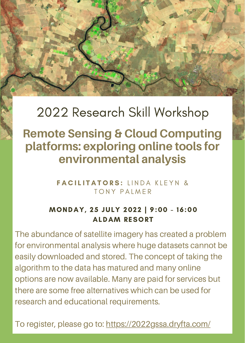## 2022 Research Skill Workshop

### **Remote Sensing & Cloud Computing platforms: exploring online tools for environmental analysis**

**FACILITATORS:** LINDA KLEYN & TONY PALMER

#### MONDAY, 25 JULY 2022 | 9:00 - 16:00 ALDAM RESORT

The abundance of satellite imagery has created a problem for environmental analysis where huge datasets cannot be easily downloaded and stored. The concept of taking the algorithm to the data has matured and many online options are now available. Many are paid for services but there are some free alternatives which can be used for research and educational requirements.

To register, please go to: <https://2022gssa.dryfta.com/>